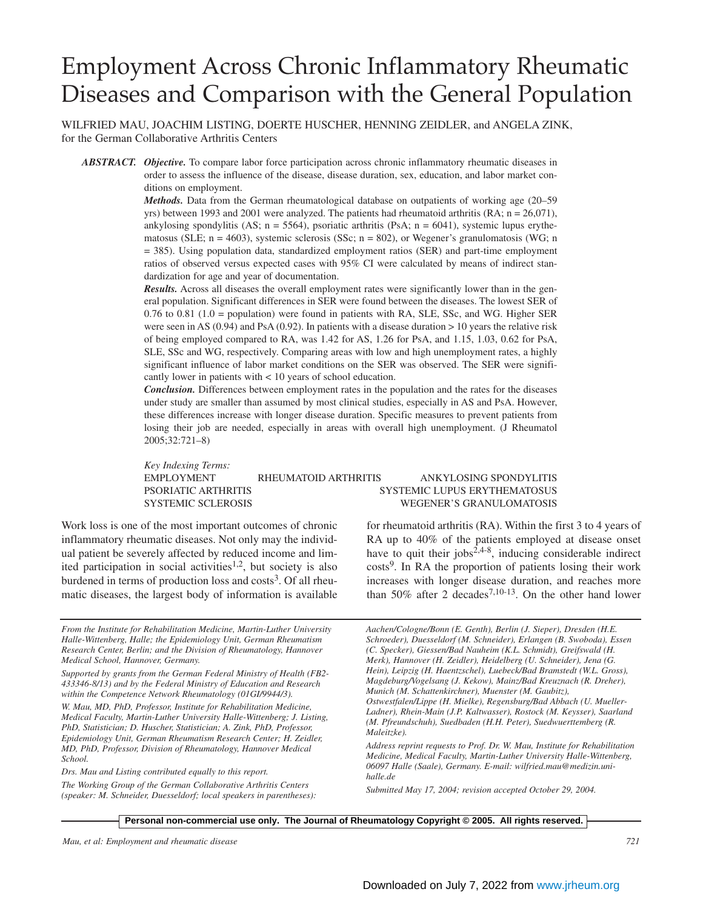# Employment Across Chronic Inflammatory Rheumatic Diseases and Comparison with the General Population

WILFRIED MAU, JOACHIM LISTING, DOERTE HUSCHER, HENNING ZEIDLER, and ANGELA ZINK, for the German Collaborative Arthritis Centers

*ABSTRACT. Objective.* To compare labor force participation across chronic inflammatory rheumatic diseases in order to assess the influence of the disease, disease duration, sex, education, and labor market conditions on employment.

> *Methods.* Data from the German rheumatological database on outpatients of working age (20–59 yrs) between 1993 and 2001 were analyzed. The patients had rheumatoid arthritis (RA; n = 26,071), ankylosing spondylitis (AS;  $n = 5564$ ), psoriatic arthritis (PsA;  $n = 6041$ ), systemic lupus erythematosus (SLE;  $n = 4603$ ), systemic sclerosis (SSc;  $n = 802$ ), or Wegener's granulomatosis (WG; n = 385). Using population data, standardized employment ratios (SER) and part-time employment ratios of observed versus expected cases with 95% CI were calculated by means of indirect standardization for age and year of documentation.

> *Results.* Across all diseases the overall employment rates were significantly lower than in the general population. Significant differences in SER were found between the diseases. The lowest SER of 0.76 to 0.81 (1.0 = population) were found in patients with RA, SLE, SSc, and WG. Higher SER were seen in AS (0.94) and PsA (0.92). In patients with a disease duration > 10 years the relative risk of being employed compared to RA, was 1.42 for AS, 1.26 for PsA, and 1.15, 1.03, 0.62 for PsA, SLE, SSc and WG, respectively. Comparing areas with low and high unemployment rates, a highly significant influence of labor market conditions on the SER was observed. The SER were significantly lower in patients with < 10 years of school education.

> *Conclusion.* Differences between employment rates in the population and the rates for the diseases under study are smaller than assumed by most clinical studies, especially in AS and PsA. However, these differences increase with longer disease duration. Specific measures to prevent patients from losing their job are needed, especially in areas with overall high unemployment. (J Rheumatol 2005;32:721–8)

> *Key Indexing Terms:* EMPLOYMENT RHEUMATOID ARTHRITIS ANKYLOSING SPONDYLITIS PSORIATIC ARTHRITIS SYSTEMIC LUPUS ERYTHEMATOSUS SYSTEMIC SCLEROSIS WEGENER'S GRANULOMATOSIS

Work loss is one of the most important outcomes of chronic inflammatory rheumatic diseases. Not only may the individual patient be severely affected by reduced income and limited participation in social activities<sup>1,2</sup>, but society is also burdened in terms of production loss and  $costs<sup>3</sup>$ . Of all rheumatic diseases, the largest body of information is available

*From the Institute for Rehabilitation Medicine, Martin-Luther University Halle-Wittenberg, Halle; the Epidemiology Unit, German Rheumatism Research Center, Berlin; and the Division of Rheumatology, Hannover Medical School, Hannover, Germany.*

*Supported by grants from the German Federal Ministry of Health (FB2- 433346-8/13) and by the Federal Ministry of Education and Research within the Competence Network Rheumatology (01GI/9944/3).*

*W. Mau, MD, PhD, Professor, Institute for Rehabilitation Medicine, Medical Faculty, Martin-Luther University Halle-Wittenberg; J. Listing, PhD, Statistician; D. Huscher, Statistician; A. Zink, PhD, Professor, Epidemiology Unit, German Rheumatism Research Center; H. Zeidler, MD, PhD, Professor, Division of Rheumatology, Hannover Medical School.*

*Drs. Mau and Listing contributed equally to this report.*

*The Working Group of the German Collaborative Arthritis Centers (speaker: M. Schneider, Duesseldorf; local speakers in parentheses):*

for rheumatoid arthritis (RA). Within the first 3 to 4 years of RA up to 40% of the patients employed at disease onset have to quit their jobs<sup>2,4-8</sup>, inducing considerable indirect costs<sup>9</sup>. In RA the proportion of patients losing their work increases with longer disease duration, and reaches more than 50% after 2 decades<sup>7,10-13</sup>. On the other hand lower

*Aachen/Cologne/Bonn (E. Genth), Berlin (J. Sieper), Dresden (H.E. Schroeder), Duesseldorf (M. Schneider), Erlangen (B. Swoboda), Essen (C. Specker), Giessen/Bad Nauheim (K.L. Schmidt), Greifswald (H. Merk), Hannover (H. Zeidler), Heidelberg (U. Schneider), Jena (G. Hein), Leipzig (H. Haentzschel), Luebeck/Bad Bramstedt (W.L. Gross), Magdeburg/Vogelsang (J. Kekow), Mainz/Bad Kreuznach (R. Dreher), Munich (M. Schattenkirchner), Muenster (M. Gaubitz), Ostwestfalen/Lippe (H. Mielke), Regensburg/Bad Abbach (U. Mueller-Ladner), Rhein-Main (J.P. Kaltwasser), Rostock (M. Keysser), Saarland (M. Pfreundschuh), Suedbaden (H.H. Peter), Suedwuerttemberg (R. Maleitzke).*

*Address reprint requests to Prof. Dr. W. Mau, Institute for Rehabilitation Medicine, Medical Faculty, Martin-Luther University Halle-Wittenberg, 06097 Halle (Saale), Germany. E-mail: wilfried.mau@medizin.unihalle.de*

*Submitted May 17, 2004; revision accepted October 29, 2004.*

#### **Personal non-commercial use only. The Journal of Rheumatology Copyright © 2005. All rights reserved.**

*Mau, et al: Employment and rheumatic disease 721*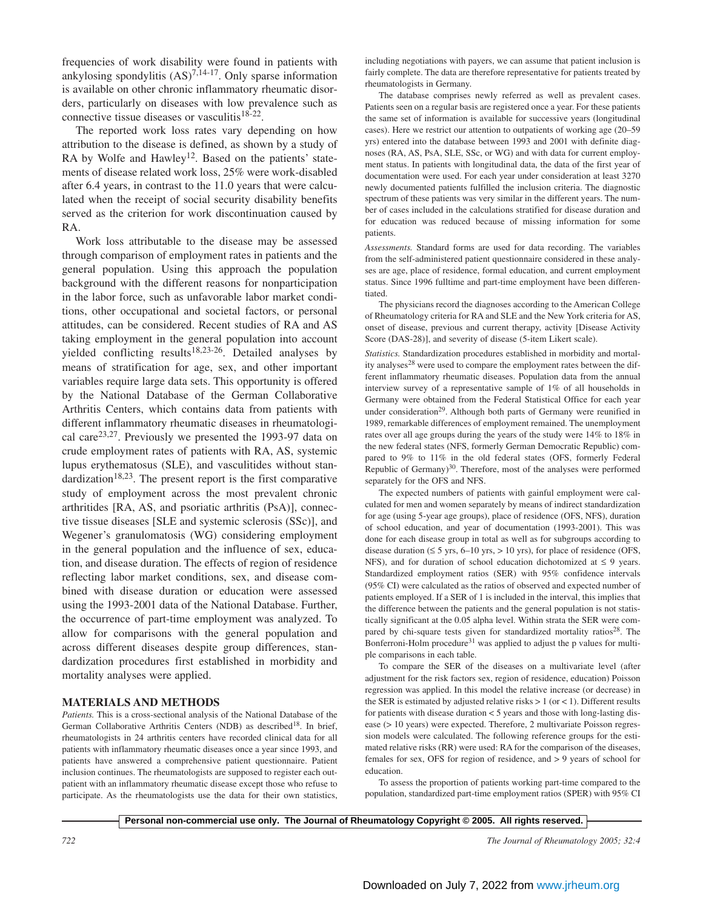frequencies of work disability were found in patients with ankylosing spondylitis  $(AS)^{7,14-17}$ . Only sparse information is available on other chronic inflammatory rheumatic disorders, particularly on diseases with low prevalence such as connective tissue diseases or vasculitis<sup>18-22</sup>.

The reported work loss rates vary depending on how attribution to the disease is defined, as shown by a study of RA by Wolfe and Hawley<sup>12</sup>. Based on the patients' statements of disease related work loss, 25% were work-disabled after 6.4 years, in contrast to the 11.0 years that were calculated when the receipt of social security disability benefits served as the criterion for work discontinuation caused by RA.

Work loss attributable to the disease may be assessed through comparison of employment rates in patients and the general population. Using this approach the population background with the different reasons for nonparticipation in the labor force, such as unfavorable labor market conditions, other occupational and societal factors, or personal attitudes, can be considered. Recent studies of RA and AS taking employment in the general population into account yielded conflicting results<sup>18,23-26</sup>. Detailed analyses by means of stratification for age, sex, and other important variables require large data sets. This opportunity is offered by the National Database of the German Collaborative Arthritis Centers, which contains data from patients with different inflammatory rheumatic diseases in rheumatological care23,27. Previously we presented the 1993-97 data on crude employment rates of patients with RA, AS, systemic lupus erythematosus (SLE), and vasculitides without standardization<sup>18,23</sup>. The present report is the first comparative study of employment across the most prevalent chronic arthritides [RA, AS, and psoriatic arthritis (PsA)], connective tissue diseases [SLE and systemic sclerosis (SSc)], and Wegener's granulomatosis (WG) considering employment in the general population and the influence of sex, education, and disease duration. The effects of region of residence reflecting labor market conditions, sex, and disease combined with disease duration or education were assessed using the 1993-2001 data of the National Database. Further, the occurrence of part-time employment was analyzed. To allow for comparisons with the general population and across different diseases despite group differences, standardization procedures first established in morbidity and mortality analyses were applied.

## **MATERIALS AND METHODS**

*Patients.* This is a cross-sectional analysis of the National Database of the German Collaborative Arthritis Centers (NDB) as described<sup>18</sup>. In brief, rheumatologists in 24 arthritis centers have recorded clinical data for all patients with inflammatory rheumatic diseases once a year since 1993, and patients have answered a comprehensive patient questionnaire. Patient inclusion continues. The rheumatologists are supposed to register each outpatient with an inflammatory rheumatic disease except those who refuse to participate. As the rheumatologists use the data for their own statistics, including negotiations with payers, we can assume that patient inclusion is fairly complete. The data are therefore representative for patients treated by rheumatologists in Germany.

The database comprises newly referred as well as prevalent cases. Patients seen on a regular basis are registered once a year. For these patients the same set of information is available for successive years (longitudinal cases). Here we restrict our attention to outpatients of working age (20–59 yrs) entered into the database between 1993 and 2001 with definite diagnoses (RA, AS, PsA, SLE, SSc, or WG) and with data for current employment status. In patients with longitudinal data, the data of the first year of documentation were used. For each year under consideration at least 3270 newly documented patients fulfilled the inclusion criteria. The diagnostic spectrum of these patients was very similar in the different years. The number of cases included in the calculations stratified for disease duration and for education was reduced because of missing information for some patients.

*Assessments.* Standard forms are used for data recording. The variables from the self-administered patient questionnaire considered in these analyses are age, place of residence, formal education, and current employment status. Since 1996 fulltime and part-time employment have been differentiated.

The physicians record the diagnoses according to the American College of Rheumatology criteria for RA and SLE and the New York criteria for AS, onset of disease, previous and current therapy, activity [Disease Activity Score (DAS-28)], and severity of disease (5-item Likert scale).

*Statistics.* Standardization procedures established in morbidity and mortality analyses<sup>28</sup> were used to compare the employment rates between the different inflammatory rheumatic diseases. Population data from the annual interview survey of a representative sample of 1% of all households in Germany were obtained from the Federal Statistical Office for each year under consideration<sup>29</sup>. Although both parts of Germany were reunified in 1989, remarkable differences of employment remained. The unemployment rates over all age groups during the years of the study were 14% to 18% in the new federal states (NFS, formerly German Democratic Republic) compared to 9% to 11% in the old federal states (OFS, formerly Federal Republic of Germany) $30$ . Therefore, most of the analyses were performed separately for the OFS and NFS.

The expected numbers of patients with gainful employment were calculated for men and women separately by means of indirect standardization for age (using 5-year age groups), place of residence (OFS, NFS), duration of school education, and year of documentation (1993-2001). This was done for each disease group in total as well as for subgroups according to disease duration ( $\leq$  5 yrs, 6–10 yrs, > 10 yrs), for place of residence (OFS, NFS), and for duration of school education dichotomized at  $\leq$  9 years. Standardized employment ratios (SER) with 95% confidence intervals (95% CI) were calculated as the ratios of observed and expected number of patients employed. If a SER of 1 is included in the interval, this implies that the difference between the patients and the general population is not statistically significant at the 0.05 alpha level. Within strata the SER were compared by chi-square tests given for standardized mortality ratios<sup>28</sup>. The Bonferroni-Holm procedure $31$  was applied to adjust the p values for multiple comparisons in each table.

To compare the SER of the diseases on a multivariate level (after adjustment for the risk factors sex, region of residence, education) Poisson regression was applied. In this model the relative increase (or decrease) in the SER is estimated by adjusted relative risks  $> 1$  (or < 1). Different results for patients with disease duration < 5 years and those with long-lasting disease (> 10 years) were expected. Therefore, 2 multivariate Poisson regression models were calculated. The following reference groups for the estimated relative risks (RR) were used: RA for the comparison of the diseases, females for sex, OFS for region of residence, and > 9 years of school for education.

To assess the proportion of patients working part-time compared to the population, standardized part-time employment ratios (SPER) with 95% CI

**Personal non-commercial use only. The Journal of Rheumatology Copyright © 2005. All rights reserved.**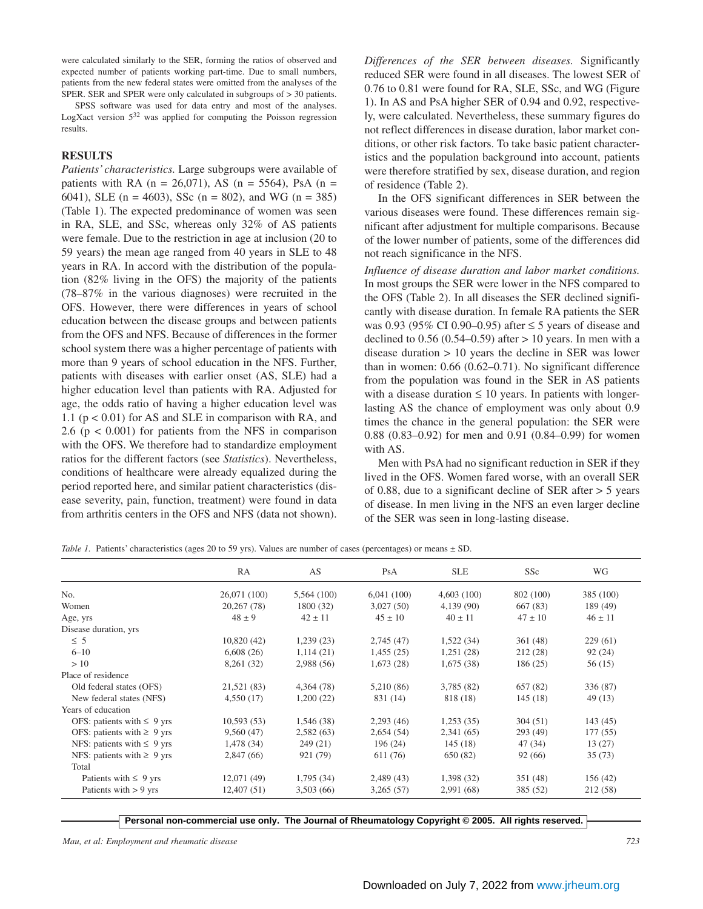were calculated similarly to the SER, forming the ratios of observed and expected number of patients working part-time. Due to small numbers, patients from the new federal states were omitted from the analyses of the SPER. SER and SPER were only calculated in subgroups of > 30 patients.

SPSS software was used for data entry and most of the analyses. LogXact version 5<sup>32</sup> was applied for computing the Poisson regression results.

## **RESULTS**

*Patients' characteristics.* Large subgroups were available of patients with RA ( $n = 26,071$ ), AS ( $n = 5564$ ), PsA ( $n =$ 6041), SLE (n = 4603), SSc (n = 802), and WG (n = 385) (Table 1). The expected predominance of women was seen in RA, SLE, and SSc, whereas only 32% of AS patients were female. Due to the restriction in age at inclusion (20 to 59 years) the mean age ranged from 40 years in SLE to 48 years in RA. In accord with the distribution of the population (82% living in the OFS) the majority of the patients (78–87% in the various diagnoses) were recruited in the OFS. However, there were differences in years of school education between the disease groups and between patients from the OFS and NFS. Because of differences in the former school system there was a higher percentage of patients with more than 9 years of school education in the NFS. Further, patients with diseases with earlier onset (AS, SLE) had a higher education level than patients with RA. Adjusted for age, the odds ratio of having a higher education level was 1.1 (p < 0.01) for AS and SLE in comparison with RA, and 2.6 ( $p < 0.001$ ) for patients from the NFS in comparison with the OFS. We therefore had to standardize employment ratios for the different factors (see *Statistics*). Nevertheless, conditions of healthcare were already equalized during the period reported here, and similar patient characteristics (disease severity, pain, function, treatment) were found in data from arthritis centers in the OFS and NFS (data not shown). *Differences of the SER between diseases.* Significantly reduced SER were found in all diseases. The lowest SER of 0.76 to 0.81 were found for RA, SLE, SSc, and WG (Figure 1). In AS and PsA higher SER of 0.94 and 0.92, respectively, were calculated. Nevertheless, these summary figures do not reflect differences in disease duration, labor market conditions, or other risk factors. To take basic patient characteristics and the population background into account, patients were therefore stratified by sex, disease duration, and region of residence (Table 2).

In the OFS significant differences in SER between the various diseases were found. These differences remain significant after adjustment for multiple comparisons. Because of the lower number of patients, some of the differences did not reach significance in the NFS.

*Influence of disease duration and labor market conditions.* In most groups the SER were lower in the NFS compared to the OFS (Table 2). In all diseases the SER declined significantly with disease duration. In female RA patients the SER was 0.93 (95% CI 0.90–0.95) after  $\leq$  5 years of disease and declined to  $0.56$  ( $0.54-0.59$ ) after  $> 10$  years. In men with a disease duration > 10 years the decline in SER was lower than in women: 0.66 (0.62–0.71). No significant difference from the population was found in the SER in AS patients with a disease duration  $\leq 10$  years. In patients with longerlasting AS the chance of employment was only about 0.9 times the chance in the general population: the SER were 0.88 (0.83–0.92) for men and 0.91 (0.84–0.99) for women with AS.

Men with PsA had no significant reduction in SER if they lived in the OFS. Women fared worse, with an overall SER of 0.88, due to a significant decline of SER after > 5 years of disease. In men living in the NFS an even larger decline of the SER was seen in long-lasting disease.

*Table 1.* Patients' characteristics (ages 20 to 59 yrs). Values are number of cases (percentages) or means  $\pm$  SD.

|                                 | RA           | AS          | PsA         | <b>SLE</b>  | SS <sub>c</sub> | WG          |
|---------------------------------|--------------|-------------|-------------|-------------|-----------------|-------------|
| No.                             | 26,071 (100) | 5,564 (100) | 6,041(100)  | 4,603(100)  | 802 (100)       | 385 (100)   |
| Women                           | 20,267 (78)  | 1800 (32)   | 3,027(50)   | 4,139(90)   | 667(83)         | 189 (49)    |
| Age, yrs                        | $48 \pm 9$   | $42 \pm 11$ | $45 \pm 10$ | $40 \pm 11$ | $47 \pm 10$     | $46 \pm 11$ |
| Disease duration, yrs           |              |             |             |             |                 |             |
| $\leq 5$                        | 10,820(42)   | 1,239(23)   | 2,745(47)   | 1,522(34)   | 361(48)         | 229(61)     |
| $6 - 10$                        | 6,608(26)    | 1,114(21)   | 1,455(25)   | 1,251(28)   | 212(28)         | 92(24)      |
| >10                             | 8,261 (32)   | 2,988(56)   | 1,673(28)   | 1,675(38)   | 186 (25)        | 56(15)      |
| Place of residence              |              |             |             |             |                 |             |
| Old federal states (OFS)        | 21,521 (83)  | 4,364 (78)  | 5,210 (86)  | 3,785 (82)  | 657(82)         | 336 (87)    |
| New federal states (NFS)        | 4,550(17)    | 1,200(22)   | 831 (14)    | 818 (18)    | 145(18)         | 49 (13)     |
| Years of education              |              |             |             |             |                 |             |
| OFS: patients with $\leq 9$ yrs | 10,593(53)   | 1,546 (38)  | 2,293(46)   | 1,253(35)   | 304(51)         | 143(45)     |
| OFS: patients with $\geq 9$ yrs | 9,560(47)    | 2,582(63)   | 2,654(54)   | 2,341(65)   | 293(49)         | 177(55)     |
| NFS: patients with $\leq 9$ yrs | 1,478 (34)   | 249(21)     | 196(24)     | 145(18)     | 47 (34)         | 13(27)      |
| NFS: patients with $\geq 9$ yrs | 2,847(66)    | 921 (79)    | 611 (76)    | 650 (82)    | 92(66)          | 35(73)      |
| Total                           |              |             |             |             |                 |             |
| Patients with $\leq 9$ yrs      | 12,071(49)   | 1,795(34)   | 2,489(43)   | 1,398(32)   | 351 (48)        | 156 (42)    |
| Patients with $> 9$ yrs         | 12,407(51)   | 3,503(66)   | 3,265(57)   | 2,991 (68)  | 385 (52)        | 212 (58)    |

**Personal non-commercial use only. The Journal of Rheumatology Copyright © 2005. All rights reserved.**

*Mau, et al: Employment and rheumatic disease 723*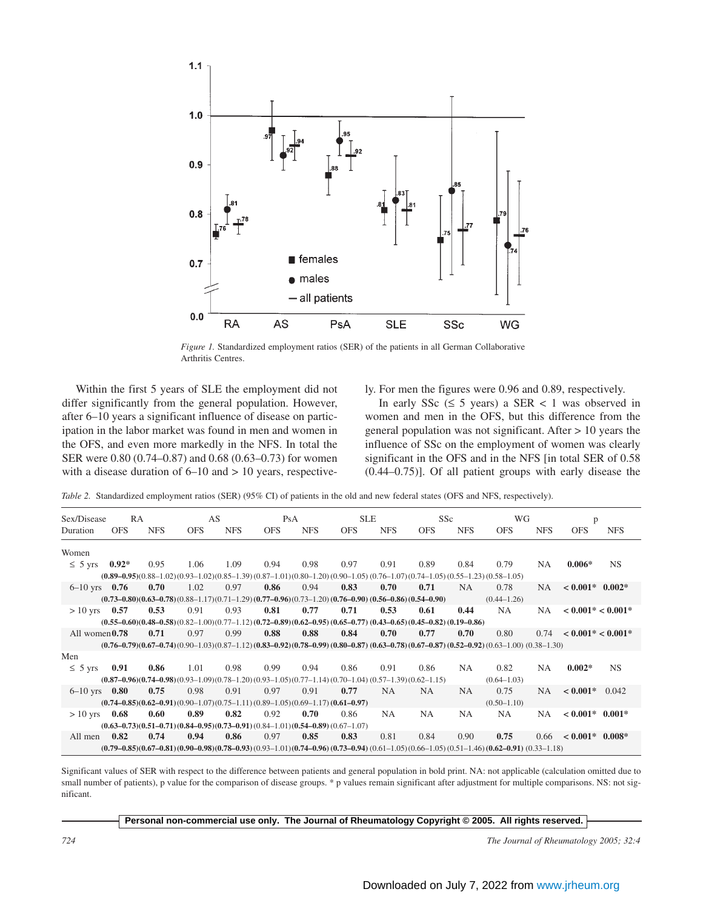

*Figure 1.* Standardized employment ratios (SER) of the patients in all German Collaborative Arthritis Centres.

Within the first 5 years of SLE the employment did not differ significantly from the general population. However, after 6–10 years a significant influence of disease on participation in the labor market was found in men and women in the OFS, and even more markedly in the NFS. In total the SER were 0.80 (0.74–0.87) and 0.68 (0.63–0.73) for women with a disease duration of  $6-10$  and  $> 10$  years, respectively. For men the figures were 0.96 and 0.89, respectively.

In early SSc  $(≤ 5 \text{ years})$  a SER < 1 was observed in women and men in the OFS, but this difference from the general population was not significant. After > 10 years the influence of SSc on the employment of women was clearly significant in the OFS and in the NFS [in total SER of 0.58 (0.44–0.75)]. Of all patient groups with early disease the

*Table 2.* Standardized employment ratios (SER) (95% CI) of patients in the old and new federal states (OFS and NFS, respectively).

| Sex/Disease       | <b>RA</b>  |            |                                                                                                                  | AS         |            | PsA        |            | <b>SLE</b> |            | SS <sub>c</sub> |                                                                                                                                        | WG         |                     |            |
|-------------------|------------|------------|------------------------------------------------------------------------------------------------------------------|------------|------------|------------|------------|------------|------------|-----------------|----------------------------------------------------------------------------------------------------------------------------------------|------------|---------------------|------------|
| Duration          | <b>OFS</b> | <b>NFS</b> | <b>OFS</b>                                                                                                       | <b>NFS</b> | <b>OFS</b> | <b>NFS</b> | <b>OFS</b> | <b>NFS</b> | <b>OFS</b> | <b>NFS</b>      | <b>OFS</b>                                                                                                                             | <b>NFS</b> | <b>OFS</b>          | <b>NFS</b> |
| Women             |            |            |                                                                                                                  |            |            |            |            |            |            |                 |                                                                                                                                        |            |                     |            |
| $\leq 5$ yrs      | $0.92*$    | 0.95       | 1.06                                                                                                             | 1.09       | 0.94       | 0.98       | 0.97       | 0.91       | 0.89       | 0.84            | 0.79                                                                                                                                   | NA.        | $0.006*$            | <b>NS</b>  |
|                   |            |            |                                                                                                                  |            |            |            |            |            |            |                 | $(0.89-0.95)(0.88-1.02)(0.93-1.02)(0.85-1.39)(0.87-1.01)(0.80-1.20)(0.90-1.05)(0.76-1.07)(0.74-1.05)(0.55-1.23)(0.58-1.05)$            |            |                     |            |
| $6-10$ yrs $0.76$ |            | 0.70       | 1.02                                                                                                             | 0.97       | 0.86       | 0.94       | 0.83       | 0.70       | 0.71       | <b>NA</b>       | 0.78                                                                                                                                   | NA.        | $< 0.001*$ 0.002*   |            |
|                   |            |            | $(0.73-0.80)(0.63-0.78)(0.88-1.17)(0.71-1.29)(0.77-0.96)(0.73-1.20)(0.76-0.90)(0.56-0.86)(0.54-0.90)$            |            |            |            |            |            |            |                 | $(0.44 - 1.26)$                                                                                                                        |            |                     |            |
| $> 10$ yrs 0.57   |            | 0.53       | 0.91                                                                                                             | 0.93       | 0.81       | 0.77       | 0.71       | 0.53       | 0.61       | 0.44            | NA.                                                                                                                                    | NA.        | $< 0.001* < 0.001*$ |            |
|                   |            |            | $(0.55-0.60)(0.48-0.58)(0.82-1.00)(0.77-1.12)(0.72-0.89)(0.62-0.95)(0.65-0.77)(0.43-0.65)(0.45-0.82)(0.19-0.86)$ |            |            |            |            |            |            |                 |                                                                                                                                        |            |                     |            |
| All women $0.78$  |            | 0.71       | 0.97                                                                                                             | 0.99       | 0.88       | 0.88       | 0.84       | 0.70       | 0.77       | 0.70            | 0.80                                                                                                                                   | 0.74       | $< 0.001* < 0.001*$ |            |
|                   |            |            |                                                                                                                  |            |            |            |            |            |            |                 | $(0.76-0.79)(0.67-0.74)(0.90-1.03)(0.87-1.12)(0.83-0.92)(0.78-0.99)(0.80-0.87)(0.63-0.78)(0.67-0.87)(0.52-0.92)(0.63-1.00)(0.38-1.30)$ |            |                     |            |
| Men               |            |            |                                                                                                                  |            |            |            |            |            |            |                 |                                                                                                                                        |            |                     |            |
| $\leq 5$ yrs      | 0.91       | 0.86       | 1.01                                                                                                             | 0.98       | 0.99       | 0.94       | 0.86       | 0.91       | 0.86       | NA              | 0.82                                                                                                                                   | NA.        | $0.002*$            | <b>NS</b>  |
|                   |            |            | $(0.87-0.96)(0.74-0.98)(0.93-1.09)(0.78-1.20)(0.93-1.05)(0.77-1.14)(0.70-1.04)(0.57-1.39)(0.62-1.15)$            |            |            |            |            |            |            |                 | $(0.64 - 1.03)$                                                                                                                        |            |                     |            |
| $6-10$ yrs $0.80$ |            | 0.75       | 0.98                                                                                                             | 0.91       | 0.97       | 0.91       | 0.77       | <b>NA</b>  | NA.        | NA.             | 0.75                                                                                                                                   | NA.        | $< 0.001*$          | 0.042      |
|                   |            |            | $(0.74 - 0.85)(0.62 - 0.91)(0.90 - 1.07)(0.75 - 1.11)(0.89 - 1.05)(0.69 - 1.17)(0.61 - 0.97)$                    |            |            |            |            |            |            |                 | $(0.50 - 1.10)$                                                                                                                        |            |                     |            |
| $> 10$ yrs        | 0.68       | 0.60       | 0.89                                                                                                             | 0.82       | 0.92       | 0.70       | 0.86       | NA.        | <b>NA</b>  | NA.             | NA.                                                                                                                                    | NA.        | $< 0.001^*$ 0.001*  |            |
|                   |            |            | $(0.63 - 0.73)(0.51 - 0.71)(0.84 - 0.95)(0.73 - 0.91)(0.84 - 1.01)(0.54 - 0.89)(0.67 - 1.07)$                    |            |            |            |            |            |            |                 |                                                                                                                                        |            |                     |            |
| All men           | 0.82       | 0.74       | 0.94                                                                                                             | 0.86       | 0.97       | 0.85       | 0.83       | 0.81       | 0.84       | 0.90            | 0.75                                                                                                                                   | 0.66       | $< 0.001*$ 0.008*   |            |
|                   |            |            |                                                                                                                  |            |            |            |            |            |            |                 | $(0.79-0.85)(0.67-0.81)(0.90-0.98)(0.78-0.93)(0.93-1.01)(0.74-0.96)(0.73-0.94)(0.61-1.05)(0.66-1.05)(0.51-1.46)(0.62-0.91)(0.33-1.18)$ |            |                     |            |

Significant values of SER with respect to the difference between patients and general population in bold print. NA: not applicable (calculation omitted due to small number of patients), p value for the comparison of disease groups. \* p values remain significant after adjustment for multiple comparisons. NS: not significant.

#### **Personal non-commercial use only. The Journal of Rheumatology Copyright © 2005. All rights reserved.**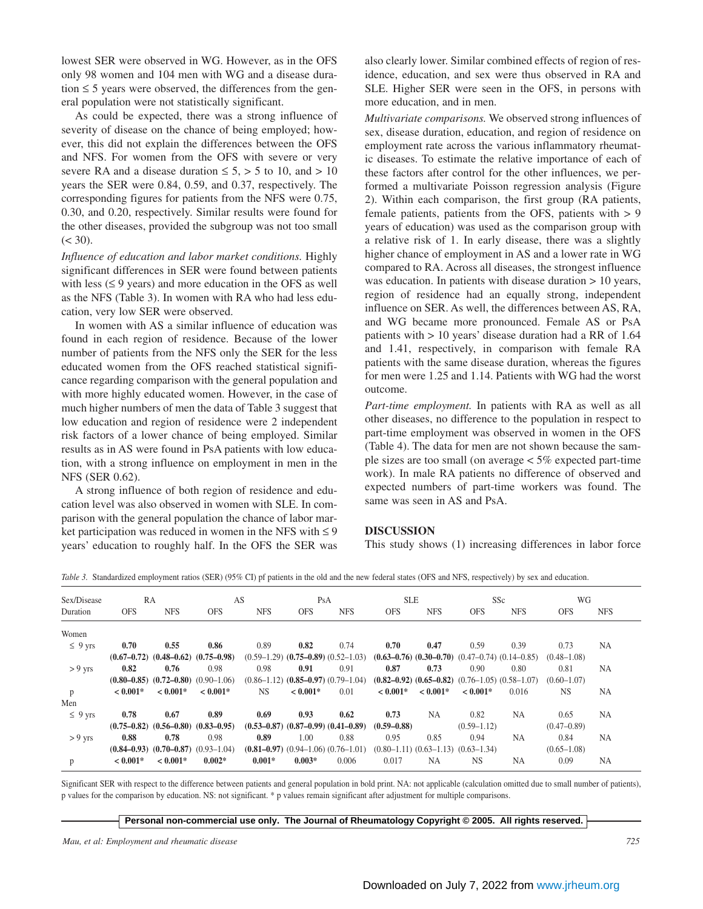lowest SER were observed in WG. However, as in the OFS only 98 women and 104 men with WG and a disease duration  $\leq$  5 years were observed, the differences from the general population were not statistically significant.

As could be expected, there was a strong influence of severity of disease on the chance of being employed; however, this did not explain the differences between the OFS and NFS. For women from the OFS with severe or very severe RA and a disease duration  $\leq 5$ ,  $> 5$  to 10, and  $> 10$ years the SER were 0.84, 0.59, and 0.37, respectively. The corresponding figures for patients from the NFS were 0.75, 0.30, and 0.20, respectively. Similar results were found for the other diseases, provided the subgroup was not too small  $(< 30)$ .

*Influence of education and labor market conditions.* Highly significant differences in SER were found between patients with less  $(≤ 9$  years) and more education in the OFS as well as the NFS (Table 3). In women with RA who had less education, very low SER were observed.

In women with AS a similar influence of education was found in each region of residence. Because of the lower number of patients from the NFS only the SER for the less educated women from the OFS reached statistical significance regarding comparison with the general population and with more highly educated women. However, in the case of much higher numbers of men the data of Table 3 suggest that low education and region of residence were 2 independent risk factors of a lower chance of being employed. Similar results as in AS were found in PsA patients with low education, with a strong influence on employment in men in the NFS (SER 0.62).

A strong influence of both region of residence and education level was also observed in women with SLE. In comparison with the general population the chance of labor market participation was reduced in women in the NFS with  $\leq 9$ years' education to roughly half. In the OFS the SER was

also clearly lower. Similar combined effects of region of residence, education, and sex were thus observed in RA and SLE. Higher SER were seen in the OFS, in persons with more education, and in men.

*Multivariate comparisons.* We observed strong influences of sex, disease duration, education, and region of residence on employment rate across the various inflammatory rheumatic diseases. To estimate the relative importance of each of these factors after control for the other influences, we performed a multivariate Poisson regression analysis (Figure 2). Within each comparison, the first group (RA patients, female patients, patients from the OFS, patients with > 9 years of education) was used as the comparison group with a relative risk of 1. In early disease, there was a slightly higher chance of employment in AS and a lower rate in WG compared to RA. Across all diseases, the strongest influence was education. In patients with disease duration  $> 10$  years, region of residence had an equally strong, independent influence on SER. As well, the differences between AS, RA, and WG became more pronounced. Female AS or PsA patients with > 10 years' disease duration had a RR of 1.64 and 1.41, respectively, in comparison with female RA patients with the same disease duration, whereas the figures for men were 1.25 and 1.14. Patients with WG had the worst outcome.

*Part-time employment.* In patients with RA as well as all other diseases, no difference to the population in respect to part-time employment was observed in women in the OFS (Table 4). The data for men are not shown because the sample sizes are too small (on average < 5% expected part-time work). In male RA patients no difference of observed and expected numbers of part-time workers was found. The same was seen in AS and PsA.

# **DISCUSSION**

This study shows (1) increasing differences in labor force

| Sex/Disease<br>RA |            |                                                 | AS         |            | PsA        |                                                 | <b>SLE</b>      |            | SS <sub>c</sub>                                         |            | WG              |            |
|-------------------|------------|-------------------------------------------------|------------|------------|------------|-------------------------------------------------|-----------------|------------|---------------------------------------------------------|------------|-----------------|------------|
| Duration          | <b>OFS</b> | <b>NFS</b>                                      | <b>OFS</b> | <b>NFS</b> | <b>OFS</b> | <b>NFS</b>                                      | <b>OFS</b>      | <b>NFS</b> | <b>OFS</b>                                              | <b>NFS</b> | <b>OFS</b>      | <b>NFS</b> |
| Women             |            |                                                 |            |            |            |                                                 |                 |            |                                                         |            |                 |            |
| $\leq 9$ yrs      | 0.70       | 0.55                                            | 0.86       | 0.89       | 0.82       | 0.74                                            | 0.70            | 0.47       | 0.59                                                    | 0.39       | 0.73            | NA.        |
|                   |            | $(0.67-0.72)$ $(0.48-0.62)$ $(0.75-0.98)$       |            |            |            | $(0.59-1.29)$ $(0.75-0.89)$ $(0.52-1.03)$       |                 |            | $(0.63-0.76)$ $(0.30-0.70)$ $(0.47-0.74)$ $(0.14-0.85)$ |            | $(0.48 - 1.08)$ |            |
| $> 9$ yrs         | 0.82       | 0.76                                            | 0.98       | 0.98       | 0.91       | 0.91                                            | 0.87            | 0.73       | 0.90                                                    | 0.80       | 0.81            | NA.        |
|                   |            | $(0.80-0.85)$ $(0.72-0.80)$ $(0.90-1.06)$       |            |            |            | $(0.86-1.12)$ $(0.85-0.97)$ $(0.79-1.04)$       |                 |            | $(0.82-0.92)$ $(0.65-0.82)$ $(0.76-1.05)$ $(0.58-1.07)$ |            | $(0.60 - 1.07)$ |            |
| p                 | $< 0.001*$ | $< 0.001*$                                      | $< 0.001*$ | <b>NS</b>  | $< 0.001*$ | 0.01                                            | $< 0.001*$      | $< 0.001*$ | $< 0.001*$                                              | 0.016      | <b>NS</b>       | NA         |
| Men               |            |                                                 |            |            |            |                                                 |                 |            |                                                         |            |                 |            |
| $\leq 9$ yrs      | 0.78       | 0.67                                            | 0.89       | 0.69       | 0.93       | 0.62                                            | 0.73            | <b>NA</b>  | 0.82                                                    | <b>NA</b>  | 0.65            | <b>NA</b>  |
|                   |            | $(0.75-0.82)$ $(0.56-0.80)$ $(0.83-0.95)$       |            |            |            | $(0.53-0.87)$ $(0.87-0.99)$ $(0.41-0.89)$       | $(0.59 - 0.88)$ |            | $(0.59 - 1.12)$                                         |            | $(0.47 - 0.89)$ |            |
| $> 9$ yrs         | 0.88       | 0.78                                            | 0.98       | 0.89       | 1.00       | 0.88                                            | 0.95            | 0.85       | 0.94                                                    | NA         | 0.84            | <b>NA</b>  |
|                   |            | $(0.84 - 0.93)$ $(0.70 - 0.87)$ $(0.93 - 1.04)$ |            |            |            | $(0.81 - 0.97)$ $(0.94 - 1.06)$ $(0.76 - 1.01)$ |                 |            | $(0.80-1.11)$ $(0.63-1.13)$ $(0.63-1.34)$               |            | $(0.65 - 1.08)$ |            |
| p                 | $< 0.001*$ | $< 0.001*$                                      | $0.002*$   | $0.001*$   | $0.003*$   | 0.006                                           | 0.017           | <b>NA</b>  | <b>NS</b>                                               | <b>NA</b>  | 0.09            | NA         |

*Table 3.* Standardized employment ratios (SER) (95% CI) pf patients in the old and the new federal states (OFS and NFS, respectively) by sex and education.

Significant SER with respect to the difference between patients and general population in bold print. NA: not applicable (calculation omitted due to small number of patients), p values for the comparison by education. NS: not significant. \* p values remain significant after adjustment for multiple comparisons.

#### **Personal non-commercial use only. The Journal of Rheumatology Copyright © 2005. All rights reserved.**

*Mau, et al: Employment and rheumatic disease 725*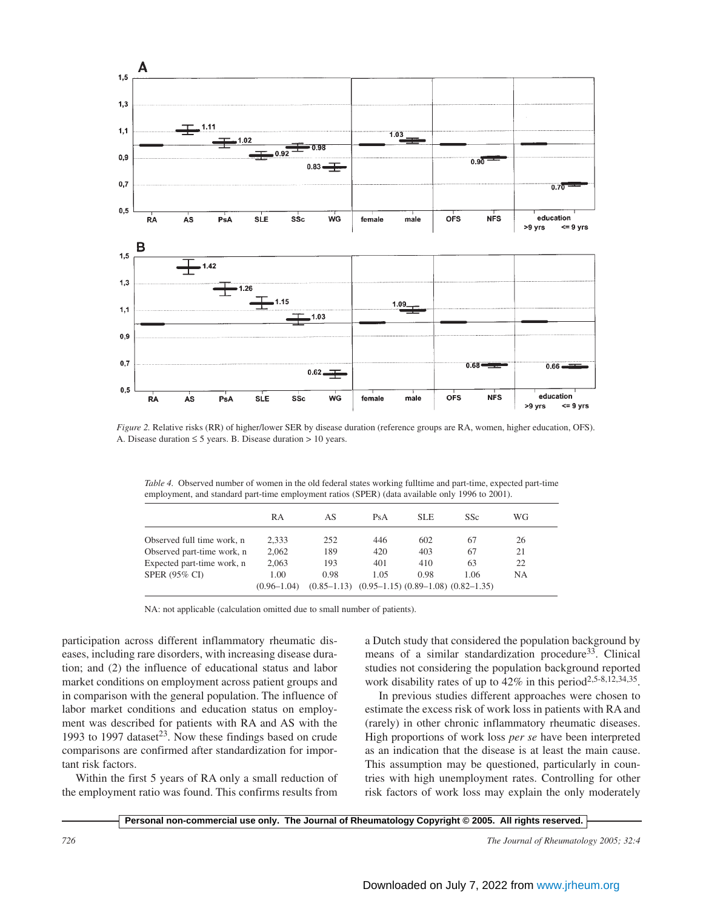

*Figure 2.* Relative risks (RR) of higher/lower SER by disease duration (reference groups are RA, women, higher education, OFS). A. Disease duration  $\leq 5$  years. B. Disease duration  $> 10$  years.

*Table 4.* Observed number of women in the old federal states working fulltime and part-time, expected part-time employment, and standard part-time employment ratios (SPER) (data available only 1996 to 2001).

|                            | RA                      | AS                                                              | PsA  | <b>SLE</b> | SSc  | WG  |  |
|----------------------------|-------------------------|-----------------------------------------------------------------|------|------------|------|-----|--|
| Observed full time work, n | 2.333                   | 252                                                             | 446  | 602        | 67   | 26  |  |
| Observed part-time work, n | 2,062                   | 189                                                             | 420  | 403        | 67   | 21  |  |
| Expected part-time work, n | 2.063                   | 193                                                             | 401  | 410        | 63   | 22  |  |
| SPER (95% CI)              | 1.00<br>$(0.96 - 1.04)$ | 0.98<br>$(0.85-1.13)$ $(0.95-1.15)$ $(0.89-1.08)$ $(0.82-1.35)$ | 1.05 | 0.98       | 1.06 | NA. |  |

NA: not applicable (calculation omitted due to small number of patients).

participation across different inflammatory rheumatic diseases, including rare disorders, with increasing disease duration; and (2) the influence of educational status and labor market conditions on employment across patient groups and in comparison with the general population. The influence of labor market conditions and education status on employment was described for patients with RA and AS with the 1993 to 1997 dataset<sup>23</sup>. Now these findings based on crude comparisons are confirmed after standardization for important risk factors.

Within the first 5 years of RA only a small reduction of the employment ratio was found. This confirms results from a Dutch study that considered the population background by means of a similar standardization procedure<sup>33</sup>. Clinical studies not considering the population background reported work disability rates of up to 42% in this period<sup>2,5-8,12,34,35</sup>.

In previous studies different approaches were chosen to estimate the excess risk of work loss in patients with RA and (rarely) in other chronic inflammatory rheumatic diseases. High proportions of work loss *per se* have been interpreted as an indication that the disease is at least the main cause. This assumption may be questioned, particularly in countries with high unemployment rates. Controlling for other risk factors of work loss may explain the only moderately

**Personal non-commercial use only. The Journal of Rheumatology Copyright © 2005. All rights reserved.**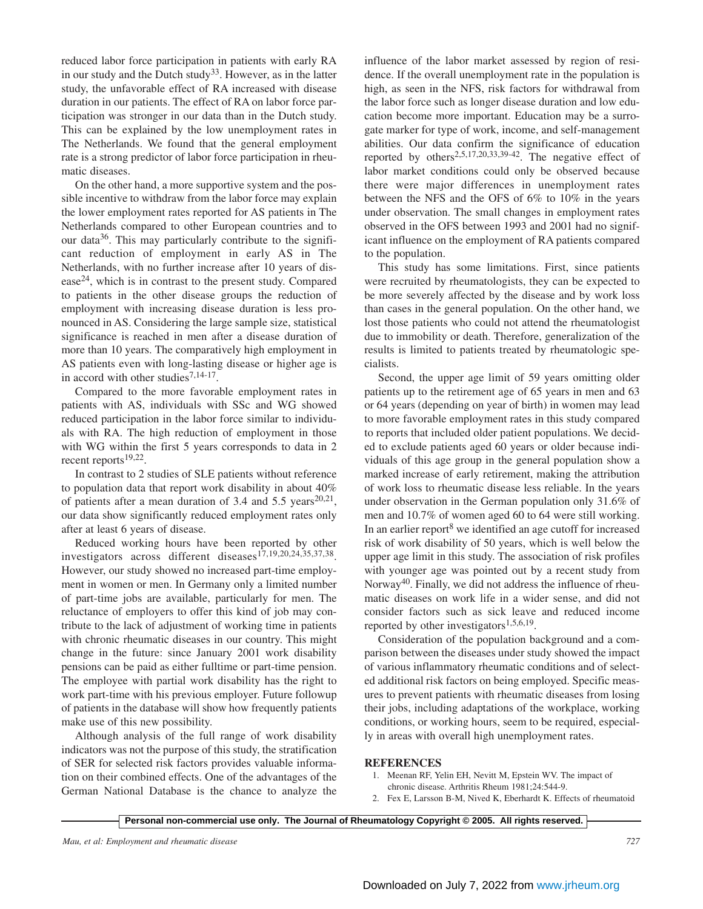reduced labor force participation in patients with early RA in our study and the Dutch study<sup>33</sup>. However, as in the latter study, the unfavorable effect of RA increased with disease duration in our patients. The effect of RA on labor force participation was stronger in our data than in the Dutch study. This can be explained by the low unemployment rates in The Netherlands. We found that the general employment rate is a strong predictor of labor force participation in rheumatic diseases.

On the other hand, a more supportive system and the possible incentive to withdraw from the labor force may explain the lower employment rates reported for AS patients in The Netherlands compared to other European countries and to our data<sup>36</sup>. This may particularly contribute to the significant reduction of employment in early AS in The Netherlands, with no further increase after 10 years of dis $e$ ase<sup>24</sup>, which is in contrast to the present study. Compared to patients in the other disease groups the reduction of employment with increasing disease duration is less pronounced in AS. Considering the large sample size, statistical significance is reached in men after a disease duration of more than 10 years. The comparatively high employment in AS patients even with long-lasting disease or higher age is in accord with other studies<sup>7,14-17</sup>.

Compared to the more favorable employment rates in patients with AS, individuals with SSc and WG showed reduced participation in the labor force similar to individuals with RA. The high reduction of employment in those with WG within the first 5 years corresponds to data in 2 recent reports $19,22$ .

In contrast to 2 studies of SLE patients without reference to population data that report work disability in about 40% of patients after a mean duration of 3.4 and 5.5 years<sup>20,21</sup>, our data show significantly reduced employment rates only after at least 6 years of disease.

Reduced working hours have been reported by other investigators across different diseases<sup>17,19,20,24,35,37,38</sup>. However, our study showed no increased part-time employment in women or men. In Germany only a limited number of part-time jobs are available, particularly for men. The reluctance of employers to offer this kind of job may contribute to the lack of adjustment of working time in patients with chronic rheumatic diseases in our country. This might change in the future: since January 2001 work disability pensions can be paid as either fulltime or part-time pension. The employee with partial work disability has the right to work part-time with his previous employer. Future followup of patients in the database will show how frequently patients make use of this new possibility.

Although analysis of the full range of work disability indicators was not the purpose of this study, the stratification of SER for selected risk factors provides valuable information on their combined effects. One of the advantages of the German National Database is the chance to analyze the

influence of the labor market assessed by region of residence. If the overall unemployment rate in the population is high, as seen in the NFS, risk factors for withdrawal from the labor force such as longer disease duration and low education become more important. Education may be a surrogate marker for type of work, income, and self-management abilities. Our data confirm the significance of education reported by others<sup>2,5,17,20,33,39-42</sup>. The negative effect of labor market conditions could only be observed because there were major differences in unemployment rates between the NFS and the OFS of 6% to 10% in the years under observation. The small changes in employment rates observed in the OFS between 1993 and 2001 had no significant influence on the employment of RA patients compared to the population.

This study has some limitations. First, since patients were recruited by rheumatologists, they can be expected to be more severely affected by the disease and by work loss than cases in the general population. On the other hand, we lost those patients who could not attend the rheumatologist due to immobility or death. Therefore, generalization of the results is limited to patients treated by rheumatologic specialists.

Second, the upper age limit of 59 years omitting older patients up to the retirement age of 65 years in men and 63 or 64 years (depending on year of birth) in women may lead to more favorable employment rates in this study compared to reports that included older patient populations. We decided to exclude patients aged 60 years or older because individuals of this age group in the general population show a marked increase of early retirement, making the attribution of work loss to rheumatic disease less reliable. In the years under observation in the German population only 31.6% of men and 10.7% of women aged 60 to 64 were still working. In an earlier report<sup>8</sup> we identified an age cutoff for increased risk of work disability of 50 years, which is well below the upper age limit in this study. The association of risk profiles with younger age was pointed out by a recent study from Norway<sup>40</sup>. Finally, we did not address the influence of rheumatic diseases on work life in a wider sense, and did not consider factors such as sick leave and reduced income reported by other investigators $1,5,6,19$ .

Consideration of the population background and a comparison between the diseases under study showed the impact of various inflammatory rheumatic conditions and of selected additional risk factors on being employed. Specific measures to prevent patients with rheumatic diseases from losing their jobs, including adaptations of the workplace, working conditions, or working hours, seem to be required, especially in areas with overall high unemployment rates.

## **REFERENCES**

- 1. Meenan RF, Yelin EH, Nevitt M, Epstein WV. The impact of chronic disease. Arthritis Rheum 1981;24:544-9.
- 2. Fex E, Larsson B-M, Nived K, Eberhardt K. Effects of rheumatoid

**Personal non-commercial use only. The Journal of Rheumatology Copyright © 2005. All rights reserved.**

*Mau, et al: Employment and rheumatic disease 727*